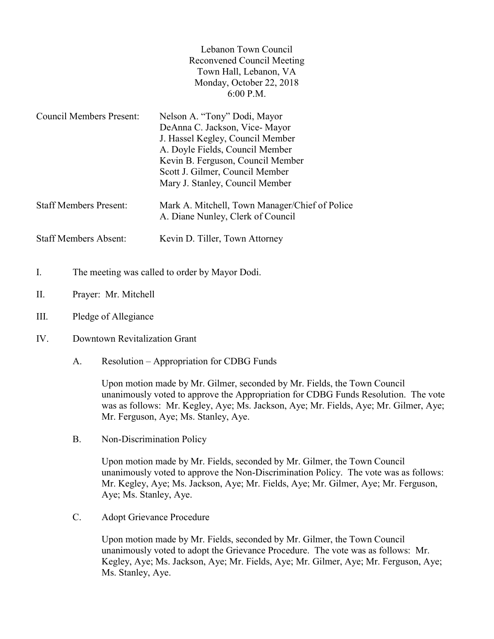| Lebanon Town Council       |
|----------------------------|
| Reconvened Council Meeting |
| Town Hall, Lebanon, VA     |
| Monday, October 22, 2018   |
| $6:00$ P.M.                |

| <b>Council Members Present:</b> | Nelson A. "Tony" Dodi, Mayor                                                        |
|---------------------------------|-------------------------------------------------------------------------------------|
|                                 | DeAnna C. Jackson, Vice-Mayor                                                       |
|                                 | J. Hassel Kegley, Council Member                                                    |
|                                 | A. Doyle Fields, Council Member                                                     |
|                                 | Kevin B. Ferguson, Council Member                                                   |
|                                 | Scott J. Gilmer, Council Member                                                     |
|                                 | Mary J. Stanley, Council Member                                                     |
| <b>Staff Members Present:</b>   | Mark A. Mitchell, Town Manager/Chief of Police<br>A. Diane Nunley, Clerk of Council |
| <b>Staff Members Absent:</b>    | Kevin D. Tiller, Town Attorney                                                      |

- I. The meeting was called to order by Mayor Dodi.
- II. Prayer: Mr. Mitchell
- III. Pledge of Allegiance
- IV. Downtown Revitalization Grant
	- A. Resolution Appropriation for CDBG Funds

Upon motion made by Mr. Gilmer, seconded by Mr. Fields, the Town Council unanimously voted to approve the Appropriation for CDBG Funds Resolution. The vote was as follows: Mr. Kegley, Aye; Ms. Jackson, Aye; Mr. Fields, Aye; Mr. Gilmer, Aye; Mr. Ferguson, Aye; Ms. Stanley, Aye.

B. Non-Discrimination Policy

Upon motion made by Mr. Fields, seconded by Mr. Gilmer, the Town Council unanimously voted to approve the Non-Discrimination Policy. The vote was as follows: Mr. Kegley, Aye; Ms. Jackson, Aye; Mr. Fields, Aye; Mr. Gilmer, Aye; Mr. Ferguson, Aye; Ms. Stanley, Aye.

C. Adopt Grievance Procedure

Upon motion made by Mr. Fields, seconded by Mr. Gilmer, the Town Council unanimously voted to adopt the Grievance Procedure. The vote was as follows: Mr. Kegley, Aye; Ms. Jackson, Aye; Mr. Fields, Aye; Mr. Gilmer, Aye; Mr. Ferguson, Aye; Ms. Stanley, Aye.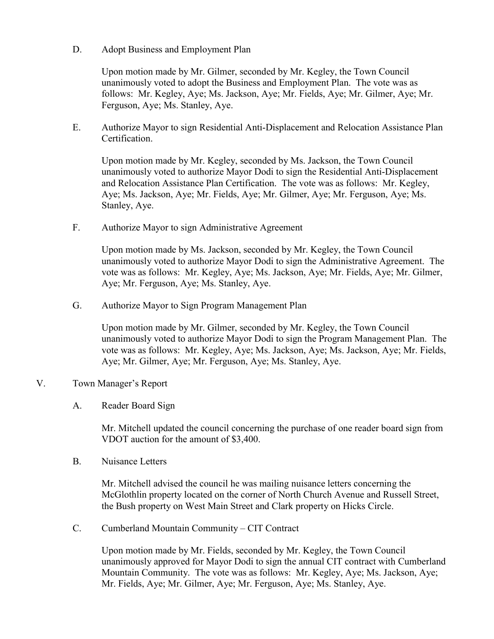D. Adopt Business and Employment Plan

Upon motion made by Mr. Gilmer, seconded by Mr. Kegley, the Town Council unanimously voted to adopt the Business and Employment Plan. The vote was as follows: Mr. Kegley, Aye; Ms. Jackson, Aye; Mr. Fields, Aye; Mr. Gilmer, Aye; Mr. Ferguson, Aye; Ms. Stanley, Aye.

E. Authorize Mayor to sign Residential Anti-Displacement and Relocation Assistance Plan Certification.

Upon motion made by Mr. Kegley, seconded by Ms. Jackson, the Town Council unanimously voted to authorize Mayor Dodi to sign the Residential Anti-Displacement and Relocation Assistance Plan Certification. The vote was as follows: Mr. Kegley, Aye; Ms. Jackson, Aye; Mr. Fields, Aye; Mr. Gilmer, Aye; Mr. Ferguson, Aye; Ms. Stanley, Aye.

F. Authorize Mayor to sign Administrative Agreement

Upon motion made by Ms. Jackson, seconded by Mr. Kegley, the Town Council unanimously voted to authorize Mayor Dodi to sign the Administrative Agreement. The vote was as follows: Mr. Kegley, Aye; Ms. Jackson, Aye; Mr. Fields, Aye; Mr. Gilmer, Aye; Mr. Ferguson, Aye; Ms. Stanley, Aye.

G. Authorize Mayor to Sign Program Management Plan

Upon motion made by Mr. Gilmer, seconded by Mr. Kegley, the Town Council unanimously voted to authorize Mayor Dodi to sign the Program Management Plan. The vote was as follows: Mr. Kegley, Aye; Ms. Jackson, Aye; Ms. Jackson, Aye; Mr. Fields, Aye; Mr. Gilmer, Aye; Mr. Ferguson, Aye; Ms. Stanley, Aye.

## V. Town Manager's Report

## A. Reader Board Sign

 Mr. Mitchell updated the council concerning the purchase of one reader board sign from VDOT auction for the amount of \$3,400.

B. Nuisance Letters

 Mr. Mitchell advised the council he was mailing nuisance letters concerning the McGlothlin property located on the corner of North Church Avenue and Russell Street, the Bush property on West Main Street and Clark property on Hicks Circle.

C. Cumberland Mountain Community – CIT Contract

 Upon motion made by Mr. Fields, seconded by Mr. Kegley, the Town Council unanimously approved for Mayor Dodi to sign the annual CIT contract with Cumberland Mountain Community. The vote was as follows: Mr. Kegley, Aye; Ms. Jackson, Aye; Mr. Fields, Aye; Mr. Gilmer, Aye; Mr. Ferguson, Aye; Ms. Stanley, Aye.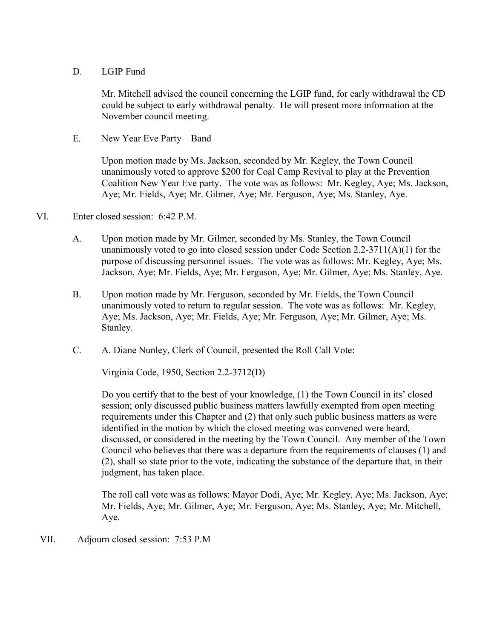## D. LGIP Fund

 Mr. Mitchell advised the council concerning the LGIP fund, for early withdrawal the CD could be subject to early withdrawal penalty. He will present more information at the November council meeting.

E. New Year Eve Party – Band

 Upon motion made by Ms. Jackson, seconded by Mr. Kegley, the Town Council unanimously voted to approve \$200 for Coal Camp Revival to play at the Prevention Coalition New Year Eve party. The vote was as follows: Mr. Kegley, Aye; Ms. Jackson, Aye; Mr. Fields, Aye; Mr. Gilmer, Aye; Mr. Ferguson, Aye; Ms. Stanley, Aye.

## VI. Enter closed session: 6:42 P.M.

- A. Upon motion made by Mr. Gilmer, seconded by Ms. Stanley, the Town Council unanimously voted to go into closed session under Code Section  $2.2\n-3711(A)(1)$  for the purpose of discussing personnel issues. The vote was as follows: Mr. Kegley, Aye; Ms. Jackson, Aye; Mr. Fields, Aye; Mr. Ferguson, Aye; Mr. Gilmer, Aye; Ms. Stanley, Aye.
- B. Upon motion made by Mr. Ferguson, seconded by Mr. Fields, the Town Council unanimously voted to return to regular session. The vote was as follows: Mr. Kegley, Aye; Ms. Jackson, Aye; Mr. Fields, Aye; Mr. Ferguson, Aye; Mr. Gilmer, Aye; Ms. Stanley.
- C. A. Diane Nunley, Clerk of Council, presented the Roll Call Vote:

Virginia Code, 1950, Section 2.2-3712(D)

 Do you certify that to the best of your knowledge, (1) the Town Council in its' closed session; only discussed public business matters lawfully exempted from open meeting requirements under this Chapter and (2) that only such public business matters as were identified in the motion by which the closed meeting was convened were heard, discussed, or considered in the meeting by the Town Council. Any member of the Town Council who believes that there was a departure from the requirements of clauses (1) and (2), shall so state prior to the vote, indicating the substance of the departure that, in their judgment, has taken place.

 The roll call vote was as follows: Mayor Dodi, Aye; Mr. Kegley, Aye; Ms. Jackson, Aye; Mr. Fields, Aye; Mr. Gilmer, Aye; Mr. Ferguson, Aye; Ms. Stanley, Aye; Mr. Mitchell, Aye.

VII. Adjourn closed session: 7:53 P.M